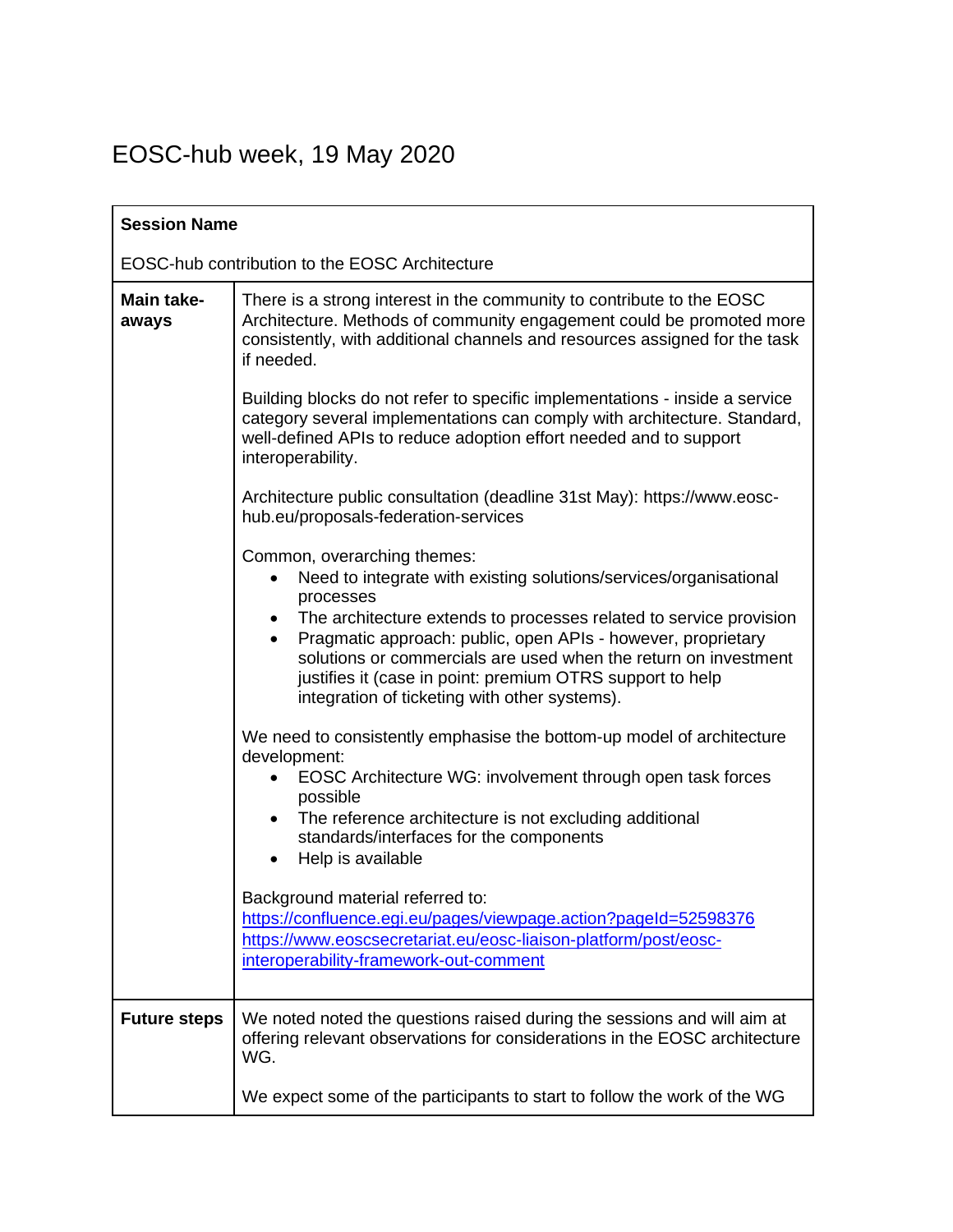## EOSC-hub week, 19 May 2020

| <b>Session Name</b>                            |                                                                                                                                                                                                                                                                                                                                                                                                                                                          |
|------------------------------------------------|----------------------------------------------------------------------------------------------------------------------------------------------------------------------------------------------------------------------------------------------------------------------------------------------------------------------------------------------------------------------------------------------------------------------------------------------------------|
| EOSC-hub contribution to the EOSC Architecture |                                                                                                                                                                                                                                                                                                                                                                                                                                                          |
| Main take-<br>aways                            | There is a strong interest in the community to contribute to the EOSC<br>Architecture. Methods of community engagement could be promoted more<br>consistently, with additional channels and resources assigned for the task<br>if needed.                                                                                                                                                                                                                |
|                                                | Building blocks do not refer to specific implementations - inside a service<br>category several implementations can comply with architecture. Standard,<br>well-defined APIs to reduce adoption effort needed and to support<br>interoperability.                                                                                                                                                                                                        |
|                                                | Architecture public consultation (deadline 31st May): https://www.eosc-<br>hub.eu/proposals-federation-services                                                                                                                                                                                                                                                                                                                                          |
|                                                | Common, overarching themes:<br>Need to integrate with existing solutions/services/organisational<br>٠<br>processes<br>• The architecture extends to processes related to service provision<br>Pragmatic approach: public, open APIs - however, proprietary<br>$\bullet$<br>solutions or commercials are used when the return on investment<br>justifies it (case in point: premium OTRS support to help<br>integration of ticketing with other systems). |
|                                                | We need to consistently emphasise the bottom-up model of architecture<br>development:<br>EOSC Architecture WG: involvement through open task forces<br>possible<br>The reference architecture is not excluding additional<br>$\bullet$<br>standards/interfaces for the components<br>Help is available                                                                                                                                                   |
|                                                | Background material referred to:<br>https://confluence.egi.eu/pages/viewpage.action?pageId=52598376<br>https://www.eoscsecretariat.eu/eosc-liaison-platform/post/eosc-<br>interoperability-framework-out-comment                                                                                                                                                                                                                                         |
| <b>Future steps</b>                            | We noted noted the questions raised during the sessions and will aim at<br>offering relevant observations for considerations in the EOSC architecture<br>WG.                                                                                                                                                                                                                                                                                             |
|                                                | We expect some of the participants to start to follow the work of the WG                                                                                                                                                                                                                                                                                                                                                                                 |